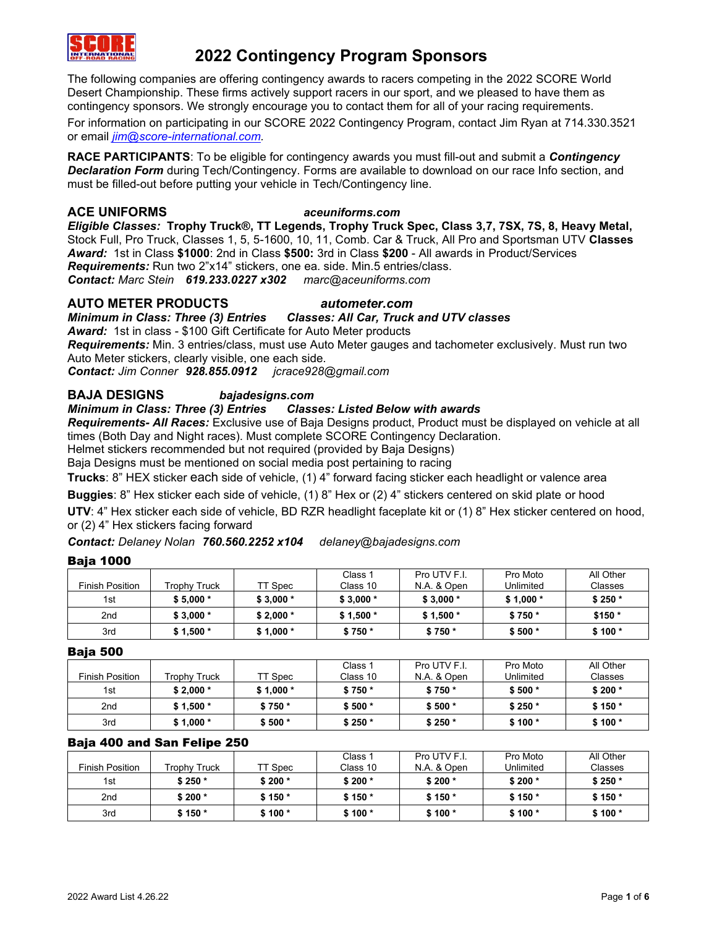

The following companies are offering contingency awards to racers competing in the 2022 SCORE World Desert Championship. These firms actively support racers in our sport, and we pleased to have them as contingency sponsors. We strongly encourage you to contact them for all of your racing requirements.

For information on participating in our SCORE 2022 Contingency Program, contact Jim Ryan at 714.330.3521 or email *[jim@score-international.com.](mailto:jim@score-international.com)*

**RACE PARTICIPANTS**: To be eligible for contingency awards you must fill-out and submit a *Contingency Declaration Form* during Tech/Contingency. Forms are available to download on our race Info section, and must be filled-out before putting your vehicle in Tech/Contingency line.

### **ACE UNIFORMS** *aceuniforms.com*

*Eligible Classes:* **Trophy Truck®, TT Legends, Trophy Truck Spec, Class 3,7, 7SX, 7S, 8, Heavy Metal,**  Stock Full, Pro Truck, Classes 1, 5, 5-1600, 10, 11, Comb. Car & Truck, All Pro and Sportsman UTV **Classes** *Award:*1st in Class **\$1000**: 2nd in Class **\$500:** 3rd in Class **\$200** - All awards in Product/Services *Requirements:* Run two 2"x14" stickers, one ea. side. Min.5 entries/class. *Contact: Marc Stein 619.233.0227 x302 marc@aceuniforms.com*

### **AUTO METER PRODUCTS** *autometer.com*

*Minimum in Class: Three (3) Entries Classes: All Car, Truck and UTV classes Award:* 1st in class - \$100 Gift Certificate for Auto Meter products *Requirements:* Min. 3 entries/class, must use Auto Meter gauges and tachometer exclusively. Must run two Auto Meter stickers, clearly visible, one each side.

*Contact: Jim Conner 928.855.0912 jcrace928@gmail.com*

# **BAJA DESIGNS** *bajadesigns.com*

### *Minimum in Class: Three (3) Entries Classes: Listed Below with awards*

*Requirements- All Races:* Exclusive use of Baja Designs product, Product must be displayed on vehicle at all times (Both Day and Night races). Must complete SCORE Contingency Declaration.

Helmet stickers recommended but not required (provided by Baja Designs)

Baja Designs must be mentioned on social media post pertaining to racing

**Trucks**: 8" HEX sticker each side of vehicle, (1) 4" forward facing sticker each headlight or valence area

**Buggies**: 8" Hex sticker each side of vehicle, (1) 8" Hex or (2) 4" stickers centered on skid plate or hood

**UTV**: 4" Hex sticker each side of vehicle, BD RZR headlight faceplate kit or (1) 8" Hex sticker centered on hood, or (2) 4" Hex stickers facing forward

### *Contact: Delaney Nolan 760.560.2252 x104 delaney@bajadesigns.com*

### Baja 1000

|                        |              |           | Class 1   | Pro UTV F.I. | Pro Moto  | All Other |
|------------------------|--------------|-----------|-----------|--------------|-----------|-----------|
| <b>Finish Position</b> | Trophy Truck | TT Spec   | Class 10  | N.A. & Open  | Unlimited | Classes   |
| 1st                    | $$5.000*$    | $$3,000*$ | $$3.000*$ | $$3,000*$    | $$1,000*$ | $$250*$   |
| 2 <sub>nd</sub>        | $$3,000*$    | $$2,000*$ | $$1.500*$ | $$1,500*$    | $$750*$   | $$150*$   |
| 3rd                    | $$1,500*$    | $$1,000*$ | $$750*$   | $$750*$      | $$500*$   | $$100*$   |

Baja 500

|                 |              |           | Class 1  | Pro UTV F.I. | Pro Moto  | All Other |
|-----------------|--------------|-----------|----------|--------------|-----------|-----------|
| Finish Position | Trophy Truck | TT Spec   | Class 10 | N.A. & Open  | Unlimited | Classes   |
| 1st             | $$2.000*$    | $$1,000*$ | $$750*$  | $$750*$      | $$500*$   | $$200*$   |
| 2nd             | $$1,500*$    | $$750*$   | $$500*$  | $$500*$      | $$250*$   | $$150*$   |
| 3rd             | $$1,000*$    | $$500*$   | $$250*$  | $$250*$      | $$100*$   | $$100*$   |

### Baja 400 and San Felipe 250

|                        |              |         | Class 1  | Pro UTV F.I. | Pro Moto  | All Other |
|------------------------|--------------|---------|----------|--------------|-----------|-----------|
| <b>Finish Position</b> | Trophv Truck | TT Spec | Class 10 | N.A. & Open  | Unlimited | Classes   |
| 1st                    | $$250*$      | $$200*$ | $$200*$  | $$200*$      | $$200*$   | $$250*$   |
| 2nd                    | $$200*$      | $$150*$ | $$150*$  | $$150*$      | $$150*$   | $$150*$   |
| 3rd                    | $$150*$      | $$100*$ | $$100*$  | $$100*$      | $$100*$   | $$100*$   |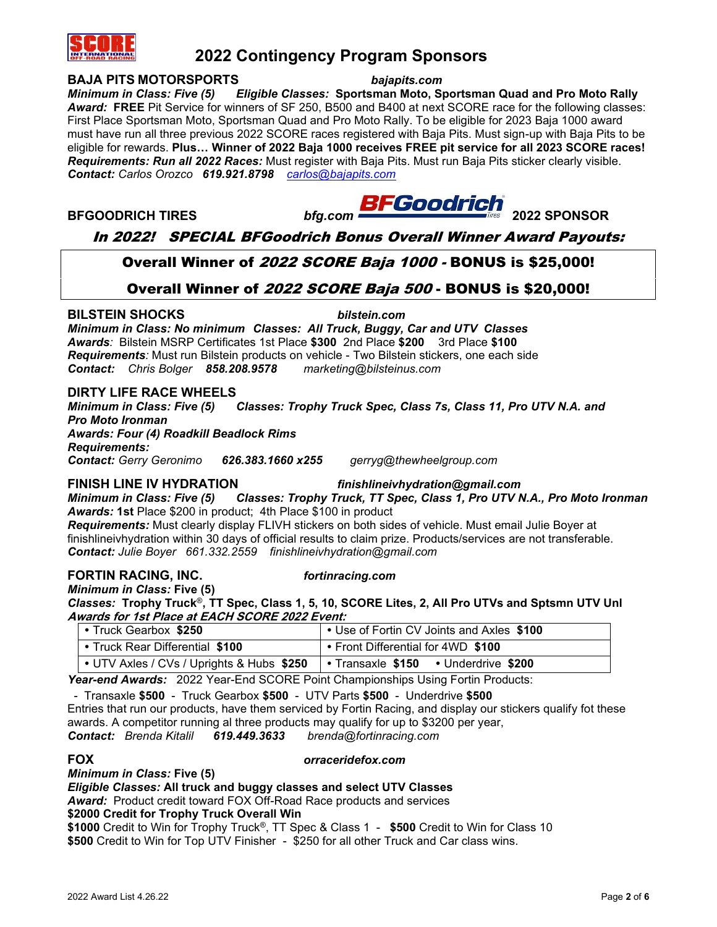

**BAJA PITS MOTORSPORTS** *bajapits.com Minimum in Class: Five (5) Eligible Classes:* **Sportsman Moto, Sportsman Quad and Pro Moto Rally** *Award:* **FREE** Pit Service for winners of SF 250, B500 and B400 at next SCORE race for the following classes: First Place Sportsman Moto, Sportsman Quad and Pro Moto Rally. To be eligible for 2023 Baja 1000 award must have run all three previous 2022 SCORE races registered with Baja Pits. Must sign-up with Baja Pits to be eligible for rewards. **Plus… Winner of 2022 Baja 1000 receives FREE pit service for all 2023 SCORE races!** *Requirements: Run all 2022 Races:* Must register with Baja Pits. Must run Baja Pits sticker clearly visible. *Contact: Carlos Orozco 619.921.8798 [carlos@bajapits.com](mailto:carlos@bajapits.com)*

**BFGOODRICH TIRES** *bfg.com* **2022 SPONSOR**

# In 2022! SPECIAL BFGoodrich Bonus Overall Winner Award Payouts:

# Overall Winner of 2022 SCORE Baja 1000 - BONUS is \$25,000!

# Overall Winner of 2022 SCORE Baja 500 - BONUS is \$20,000!

# **BILSTEIN SHOCKS** *bilstein.com*

*Minimum in Class: No minimum Classes: All Truck, Buggy, Car and UTV Classes Awards:* Bilstein MSRP Certificates 1st Place **\$300** 2nd Place **\$200** 3rd Place **\$100** *Requirements:* Must run Bilstein products on vehicle - Two Bilstein stickers, one each side *Contact: Chris Bolger 858.208.9578 marketing@bilsteinus.com*

# **DIRTY LIFE RACE WHEELS**

*Minimum in Class: Five (5) Classes: Trophy Truck Spec, Class 7s, Class 11, Pro UTV N.A. and Pro Moto Ironman Awards: Four (4) Roadkill Beadlock Rims Requirements:*

*Contact: Gerry Geronimo 626.383.1660 x255 gerryg@thewheelgroup.com*

# **FINISH LINE IV HYDRATION** *finishlineivhydration@gmail.com*

*Minimum in Class: Five (5) Classes: Trophy Truck, TT Spec, Class 1, Pro UTV N.A., Pro Moto Ironman Awards:* **1st** Place \$200 in product; 4th Place \$100 in product

*Requirements:* Must clearly display FLIVH stickers on both sides of vehicle. Must email Julie Boyer at finishlineivhydration within 30 days of official results to claim prize. Products/services are not transferable. *Contact: Julie Boyer 661.332.2559 finishlineivhydration@gmail.com*

### **FORTIN RACING, INC.** *fortinracing.com Minimum in Class:* **Five (5)**

*Classes:* **Trophy Truck**®**, TT Spec, Class 1, 5, 10, SCORE Lites, 2, All Pro UTVs and Sptsmn UTV Unl Awards for 1st Place at EACH SCORE 2022 Event:**

| • Truck Gearbox \$250                     | • Use of Fortin CV Joints and Axles \$100                |
|-------------------------------------------|----------------------------------------------------------|
| • Truck Rear Differential \$100           | • Front Differential for 4WD \$100                       |
| • UTV Axles / CVs / Uprights & Hubs \$250 | $\bullet$ Transaxle $$150$<br>$\bullet$ Underdrive \$200 |

*Year-end Awards:* 2022 Year-End SCORE Point Championships Using Fortin Products:

- Transaxle **\$500** - Truck Gearbox **\$500** - UTV Parts **\$500** - Underdrive **\$500**

Entries that run our products, have them serviced by Fortin Racing, and display our stickers qualify fot these awards. A competitor running al three products may qualify for up to \$3200 per year,

*Contact: Brenda Kitalil 619.449.3633 brenda@fortinracing.com*

# **FOX** *orraceridefox.com*

*Minimum in Class:* **Five (5)**

*Eligible Classes:* **All truck and buggy classes and select UTV Classes**

*Award:* Product credit toward FOX Off-Road Race products and services

### **\$2000 Credit for Trophy Truck Overall Win**

**\$1000** Credit to Win for Trophy Truck®, TT Spec & Class 1 - **\$500** Credit to Win for Class 10 **\$500** Credit to Win for Top UTV Finisher - \$250 for all other Truck and Car class wins.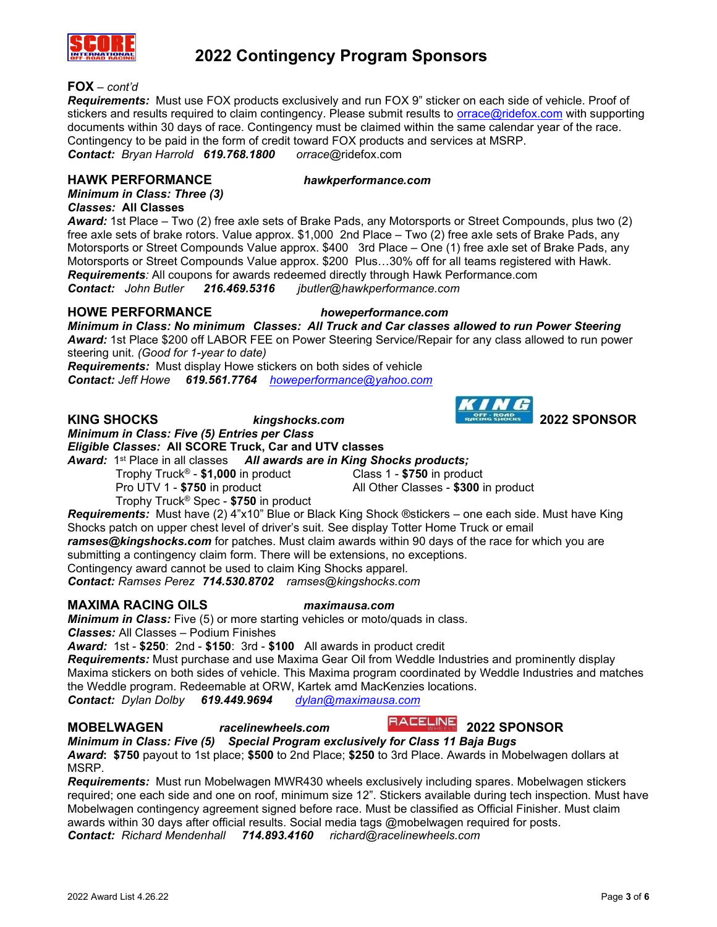

### **FOX** *– cont'd*

*Requirements:* Must use FOX products exclusively and run FOX 9" sticker on each side of vehicle. Proof of stickers and results required to claim contingency. Please submit results to [orrace@ridefox.com](mailto:orrace@ridefox.com) with supporting documents within 30 days of race. Contingency must be claimed within the same calendar year of the race. Contingency to be paid in the form of credit toward FOX products and services at MSRP. *Contact: Bryan Harrold 619.768.1800 orrace*@ridefox.com

### **HAWK PERFORMANCE** *hawkperformance.com*

*Minimum in Class: Three (3) Classes:* **All Classes**

*Award:* 1st Place – Two (2) free axle sets of Brake Pads, any Motorsports or Street Compounds, plus two (2) free axle sets of brake rotors. Value approx. \$1,000 2nd Place – Two (2) free axle sets of Brake Pads, any Motorsports or Street Compounds Value approx. \$400 3rd Place – One (1) free axle set of Brake Pads, any Motorsports or Street Compounds Value approx. \$200 Plus…30% off for all teams registered with Hawk. *Requirements:* All coupons for awards redeemed directly through Hawk Performance.com *Contact: John Butler 216.469.5316 jbutler@hawkperformance.com*

**HOWE PERFORMANCE** *howeperformance.com*

*Minimum in Class: No minimum Classes: All Truck and Car classes allowed to run Power Steering Award:* 1st Place \$200 off LABOR FEE on Power Steering Service/Repair for any class allowed to run power steering unit. *(Good for 1-year to date)*

*Requirements:* Must display Howe stickers on both sides of vehicle *Contact: Jeff Howe 619.561.7764 [howeperformance@yahoo.com](mailto:howeperformance@yahoo.com)*

# **KING SHOCKS** *kingshocks.com* **2022 SPONSOR**

*Minimum in Class: Five (5) Entries per Class*

*Eligible Classes:* **All SCORE Truck, Car and UTV classes**

Award: 1<sup>st</sup> Place in all classes All awards are in King Shocks products;

Trophy Truck® - **\$1,000** in product Class 1 - **\$750** in product Pro UTV 1 - **\$750** in product All Other Classes - **\$300** in product

Trophy Truck® Spec - **\$750** in product

*Requirements:* Must have (2) 4"x10" Blue or Black King Shock ®stickers – one each side. Must have King Shocks patch on upper chest level of driver's suit. See display Totter Home Truck or email *ramses@kingshocks.com* for patches. Must claim awards within 90 days of the race for which you are submitting a contingency claim form. There will be extensions, no exceptions. Contingency award cannot be used to claim King Shocks apparel.

*Contact: Ramses Perez 714.530.8702 ramses@kingshocks.com*

## **MAXIMA RACING OILS** *maximausa.com*

*Minimum in Class:* Five (5) or more starting vehicles or moto/quads in class. *Classes:* All Classes – Podium Finishes

*Award:* 1st - **\$250**: 2nd - **\$150**: 3rd - **\$100** All awards in product credit

*Requirements:* Must purchase and use Maxima Gear Oil from Weddle Industries and prominently display Maxima stickers on both sides of vehicle. This Maxima program coordinated by Weddle Industries and matches the Weddle program. Redeemable at ORW, Kartek amd MacKenzies locations.

*Contact: Dylan Dolby 619.449.9694 [dylan@maximausa.com](mailto:dylan@maximausa.com)*



**MOBELWAGEN** *racelinewheels.com* **2022 SPONSOR** *Minimum in Class: Five (5) Special Program exclusively for Class 11 Baja Bugs*

*Award***: \$750** payout to 1st place; **\$500** to 2nd Place; **\$250** to 3rd Place. Awards in Mobelwagen dollars at MSRP.

*Requirements:* Must run Mobelwagen MWR430 wheels exclusively including spares. Mobelwagen stickers required; one each side and one on roof, minimum size 12". Stickers available during tech inspection. Must have Mobelwagen contingency agreement signed before race. Must be classified as Official Finisher. Must claim awards within 30 days after official results. Social media tags @mobelwagen required for posts. *Contact: Richard Mendenhall 714.893.4160 richard@racelinewheels.com*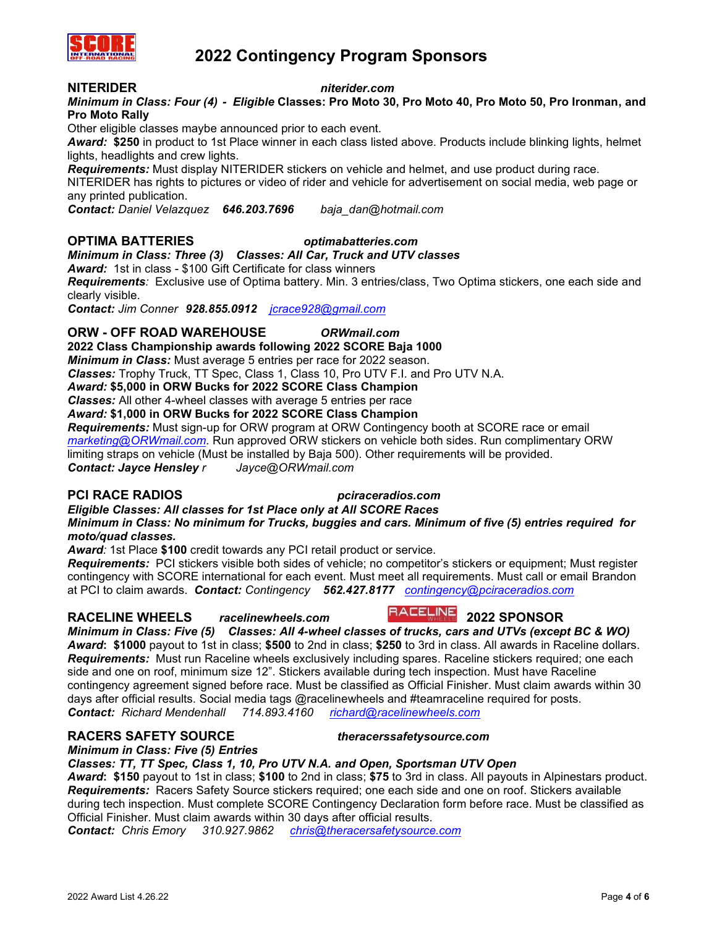

### **NITERIDER** *niterider.com*

*Minimum in Class: Four (4) - Eligible* **Classes: Pro Moto 30, Pro Moto 40, Pro Moto 50, Pro Ironman, and Pro Moto Rally**

Other eligible classes maybe announced prior to each event.

*Award:* **\$250** in product to 1st Place winner in each class listed above. Products include blinking lights, helmet lights, headlights and crew lights.

*Requirements:* Must display NITERIDER stickers on vehicle and helmet, and use product during race.

NITERIDER has rights to pictures or video of rider and vehicle for advertisement on social media, web page or any printed publication.

*Contact: Daniel Velazquez 646.203.7696 baja\_dan@hotmail.com*

### **OPTIMA BATTERIES** *optimabatteries.com*

*Minimum in Class: Three (3) Classes: All Car, Truck and UTV classes*

*Award:* 1st in class - \$100 Gift Certificate for class winners

*Requirements:* Exclusive use of Optima battery. Min. 3 entries/class, Two Optima stickers, one each side and clearly visible.

*Contact: Jim Conner 928.855.0912 [jcrace928@gmail.com](mailto:jcrace928@gmail.com)*

### **ORW - OFF ROAD WAREHOUSE** *ORWmail.com*

**2022 Class Championship awards following 2022 SCORE Baja 1000**

*Minimum in Class:* Must average 5 entries per race for 2022 season.

*Classes:* Trophy Truck, TT Spec, Class 1, Class 10, Pro UTV F.I. and Pro UTV N.A.

*Award:* **\$5,000 in ORW Bucks for 2022 SCORE Class Champion**

*Classes:* All other 4-wheel classes with average 5 entries per race

*Award:* **\$1,000 in ORW Bucks for 2022 SCORE Class Champion**

*Requirements:* Must sign-up for ORW program at ORW Contingency booth at SCORE race or email *[marketing@ORWmail.com.](file:///C:/Users/Lawton/Downloads/marketing@ORWmail.com)* Run approved ORW stickers on vehicle both sides. Run complimentary ORW limiting straps on vehicle (Must be installed by Baja 500). Other requirements will be provided. *Contact: Jayce Hensley r Jayce@ORWmail.com*

## **PCI RACE RADIOS** *pciraceradios.com*

*Eligible Classes: All classes for 1st Place only at All SCORE Races Minimum in Class: No minimum for Trucks, buggies and cars. Minimum of five (5) entries required for moto/quad classes.*

*Award:* 1st Place **\$100** credit towards any PCI retail product or service.

*Requirements:* PCI stickers visible both sides of vehicle; no competitor's stickers or equipment; Must register contingency with SCORE international for each event. Must meet all requirements. Must call or email Brandon at PCI to claim awards. *Contact: Contingency 562.427.8177 [contingency@pciraceradios.com](mailto:contingency@pciraceradios.com)*

# **RACELINE WHEELS** *racelinewheels.com* **2022 SPONSOR**

# *Minimum in Class: Five (5) Classes: All 4-wheel classes of trucks, cars and UTVs (except BC & WO) Award***: \$1000** payout to 1st in class; **\$500** to 2nd in class; **\$250** to 3rd in class. All awards in Raceline dollars. *Requirements:* Must run Raceline wheels exclusively including spares. Raceline stickers required; one each

side and one on roof, minimum size 12". Stickers available during tech inspection. Must have Raceline contingency agreement signed before race. Must be classified as Official Finisher. Must claim awards within 30 days after official results. Social media tags @racelinewheels and #teamraceline required for posts. *Contact: Richard Mendenhall 714.893.4160 [richard@racelinewheels.com](mailto:richard@racelinewheels.com)*

## **RACERS SAFETY SOURCE** *theracerssafetysource.com*

*Minimum in Class: Five (5) Entries* 

# *Classes: TT, TT Spec, Class 1, 10, Pro UTV N.A. and Open, Sportsman UTV Open*

*Award***: \$150** payout to 1st in class; **\$100** to 2nd in class; **\$75** to 3rd in class. All payouts in Alpinestars product. *Requirements:* Racers Safety Source stickers required; one each side and one on roof. Stickers available during tech inspection. Must complete SCORE Contingency Declaration form before race. Must be classified as Official Finisher. Must claim awards within 30 days after official results.

*Contact: Chris Emory 310.927.9862 [chris@theracersafetysource.com](mailto:chris@theracerssafetysource.com)*

2022 Award List 4.26.22 Page **4** of **6**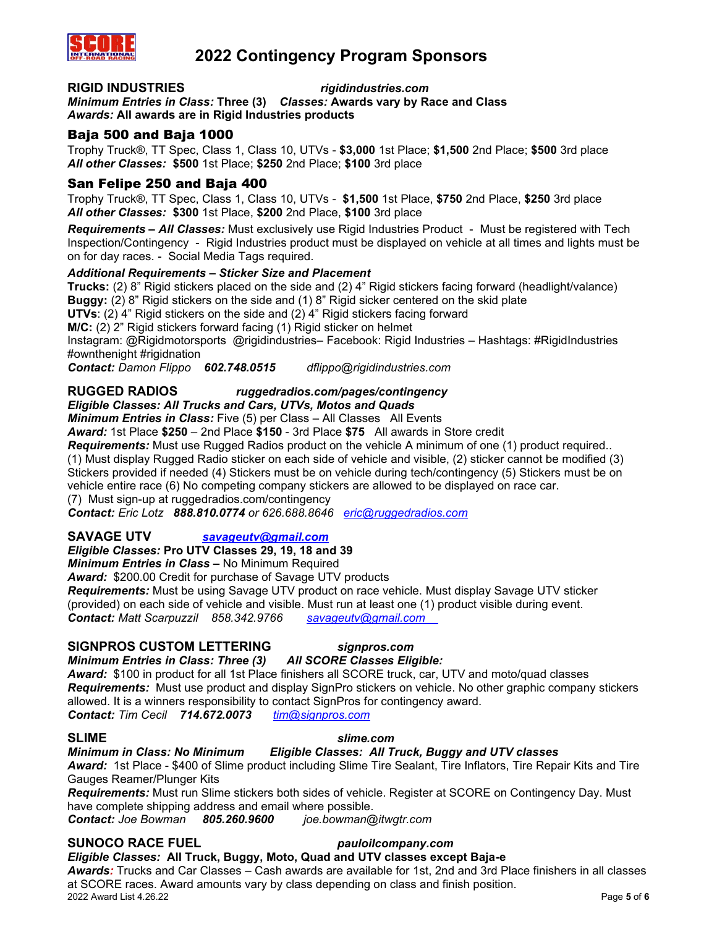

### **RIGID INDUSTRIES** *rigidindustries.com*

*Minimum Entries in Class:* **Three (3)** *Classes:* **Awards vary by Race and Class** *Awards:* **All awards are in Rigid Industries products** 

## Baja 500 and Baja 1000

Trophy Truck®, TT Spec, Class 1, Class 10, UTVs - **\$3,000** 1st Place; **\$1,500** 2nd Place; **\$500** 3rd place *All other Classes:* **\$500** 1st Place; **\$250** 2nd Place; **\$100** 3rd place

## San Felipe 250 and Baja 400

Trophy Truck®, TT Spec, Class 1, Class 10, UTVs - **\$1,500** 1st Place, **\$750** 2nd Place, **\$250** 3rd place *All other Classes:* **\$300** 1st Place, **\$200** 2nd Place, **\$100** 3rd place

*Requirements – All Classes:* Must exclusively use Rigid Industries Product - Must be registered with Tech Inspection/Contingency - Rigid Industries product must be displayed on vehicle at all times and lights must be on for day races. - Social Media Tags required.

### *Additional Requirements – Sticker Size and Placement*

**Trucks:** (2) 8" Rigid stickers placed on the side and (2) 4" Rigid stickers facing forward (headlight/valance) **Buggy:** (2) 8" Rigid stickers on the side and (1) 8" Rigid sicker centered on the skid plate **UTVs**: (2) 4" Rigid stickers on the side and (2) 4" Rigid stickers facing forward **M/C:** (2) 2" Rigid stickers forward facing (1) Rigid sticker on helmet Instagram: @Rigidmotorsports @rigidindustries– Facebook: Rigid Industries – Hashtags: #RigidIndustries #ownthenight #rigidnation

*Contact: Damon Flippo 602.748.0515 dflippo@rigidindustries.com*

### **RUGGED RADIOS** *ruggedradios.com/pages/contingency Eligible Classes: All Trucks and Cars, UTVs, Motos and Quads*

*Minimum Entries in Class:* Five (5) per Class – All Classes All Events

*Award:* 1st Place **\$250** – 2nd Place **\$150** - 3rd Place **\$75** All awards in Store credit

*Requirements:* Must use Rugged Radios product on the vehicle A minimum of one (1) product required..

(1) Must display Rugged Radio sticker on each side of vehicle and visible, (2) sticker cannot be modified (3) Stickers provided if needed (4) Stickers must be on vehicle during tech/contingency (5) Stickers must be on vehicle entire race (6) No competing company stickers are allowed to be displayed on race car.

(7) Must sign-up at ruggedradios.com/contingency

*Contact: Eric Lotz 888.810.0774 or 626.688.8646 [eric@ruggedradios.com](file:///C:/1%20A%20A%20SCORE%20File%20Primary/2022%20Contingency/Award%20Listing%20Doc/eric@ruggedradios.com)*

# **SAVAGE UTV** *[savageutv@gmail.com](mailto:savageutv@gmail.com)*

### *Eligible Classes:* **Pro UTV Classes 29, 19, 18 and 39**

*Minimum Entries in Class –* No Minimum Required

*Award:* \$200.00 Credit for purchase of Savage UTV products

*Requirements:* Must be using Savage UTV product on race vehicle. Must display Savage UTV sticker (provided) on each side of vehicle and visible. Must run at least one (1) product visible during event. *Contact: Matt Scarpuzzil 858.342.9766 [savageutv@gmail.com](mailto:savageutv@gmail.com%09)*

## **SIGNPROS CUSTOM LETTERING** *signpros.com*

*Minimum Entries in Class: Three (3) All SCORE Classes Eligible:*

*Award:* \$100 in product for all 1st Place finishers all SCORE truck, car, UTV and moto/quad classes *Requirements:* Must use product and display SignPro stickers on vehicle. No other graphic company stickers allowed. It is a winners responsibility to contact SignPros for contingency award. *Contact: Tim Cecil 714.672.0073 [tim@signpros.com](mailto:tim@signpros.com)*

### **SLIME** *slime.com*

### *Minimum in Class: No Minimum Eligible Classes: All Truck, Buggy and UTV classes*

*Award:* 1st Place - \$400 of Slime product including Slime Tire Sealant, Tire Inflators, Tire Repair Kits and Tire Gauges Reamer/Plunger Kits

*Requirements:* Must run Slime stickers both sides of vehicle. Register at SCORE on Contingency Day. Must have complete shipping address and email where possible.

*Contact: Joe Bowman 805.260.9600 joe.bowman@itwgtr.com*

# **SUNOCO RACE FUEL** *pauloilcompany.com*

# *Eligible Classes:* **All Truck, Buggy, Moto, Quad and UTV classes except Baja-e**

2022 Award List 4.26.22 Page **5** of **6** *Awards:* Trucks and Car Classes – Cash awards are available for 1st, 2nd and 3rd Place finishers in all classes at SCORE races. Award amounts vary by class depending on class and finish position.